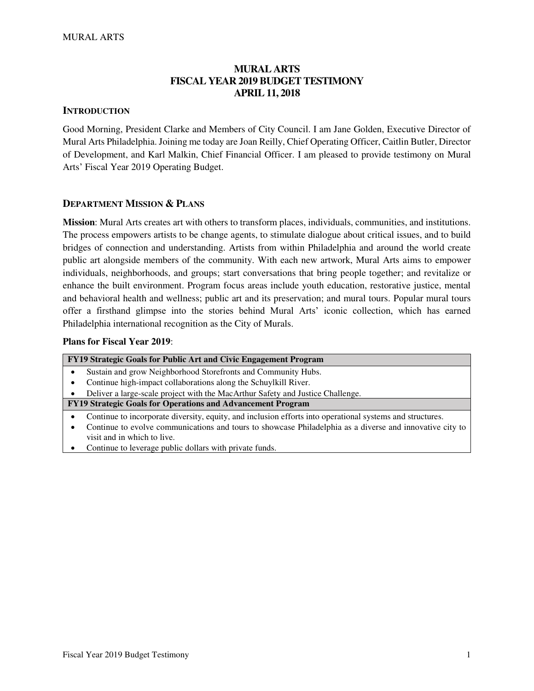# **MURAL ARTS FISCAL YEAR 2019 BUDGET TESTIMONY APRIL 11, 2018**

### **INTRODUCTION**

Good Morning, President Clarke and Members of City Council. I am Jane Golden, Executive Director of Mural Arts Philadelphia. Joining me today are Joan Reilly, Chief Operating Officer, Caitlin Butler, Director of Development, and Karl Malkin, Chief Financial Officer. I am pleased to provide testimony on Mural Arts' Fiscal Year 2019 Operating Budget.

### **DEPARTMENT MISSION & PLANS**

**Mission**: Mural Arts creates art with others to transform places, individuals, communities, and institutions. The process empowers artists to be change agents, to stimulate dialogue about critical issues, and to build bridges of connection and understanding. Artists from within Philadelphia and around the world create public art alongside members of the community. With each new artwork, Mural Arts aims to empower individuals, neighborhoods, and groups; start conversations that bring people together; and revitalize or enhance the built environment. Program focus areas include youth education, restorative justice, mental and behavioral health and wellness; public art and its preservation; and mural tours. Popular mural tours offer a firsthand glimpse into the stories behind Mural Arts' iconic collection, which has earned Philadelphia international recognition as the City of Murals.

### **Plans for Fiscal Year 2019**:

| FY19 Strategic Goals for Public Art and Civic Engagement Program                                          |
|-----------------------------------------------------------------------------------------------------------|
| Sustain and grow Neighborhood Storefronts and Community Hubs.                                             |
| Continue high-impact collaborations along the Schuylkill River.                                           |
| Deliver a large-scale project with the MacArthur Safety and Justice Challenge.                            |
| FY19 Strategic Goals for Operations and Advancement Program                                               |
| Continue to incorporate diversity, equity, and inclusion efforts into operational systems and structures. |
| Continue to evolve communications and tours to showcase Philadelphia as a diverse and innovative city to  |
| visit and in which to live.                                                                               |
| Continue to leverage public dollars with private funds.                                                   |
|                                                                                                           |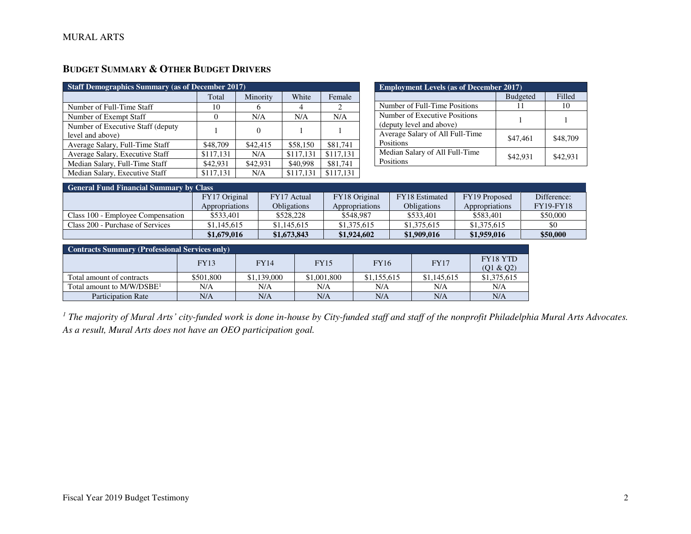| <b>Staff Demographics Summary (as of December 2017)</b> |           |          |           |           |  |  |
|---------------------------------------------------------|-----------|----------|-----------|-----------|--|--|
|                                                         | Total     | Minority | White     | Female    |  |  |
| Number of Full-Time Staff                               | 10        | 6        | 4         | 2         |  |  |
| Number of Exempt Staff                                  | $\Omega$  | N/A      | N/A       | N/A       |  |  |
| Number of Executive Staff (deputy)                      |           | 0        |           |           |  |  |
| level and above)                                        |           |          |           |           |  |  |
| Average Salary, Full-Time Staff                         | \$48,709  | \$42,415 | \$58,150  | \$81,741  |  |  |
| Average Salary, Executive Staff                         | \$117,131 | N/A      | \$117,131 | \$117.131 |  |  |
| Median Salary, Full-Time Staff                          | \$42,931  | \$42,931 | \$40,998  | \$81,741  |  |  |
| Median Salary, Executive Staff                          | \$117,131 | N/A      | \$117,131 | \$117,131 |  |  |

| <b>Employment Levels (as of December 2017)</b>            |          |          |  |  |  |
|-----------------------------------------------------------|----------|----------|--|--|--|
| <b>Budgeted</b><br>Filled                                 |          |          |  |  |  |
| Number of Full-Time Positions                             | 11       | 10       |  |  |  |
| Number of Executive Positions<br>(deputy level and above) |          |          |  |  |  |
| Average Salary of All Full-Time<br>Positions              | \$47,461 | \$48,709 |  |  |  |
| Median Salary of All Full-Time<br>Positions               | \$42,931 | \$42.931 |  |  |  |

| <b>General Fund Financial Summary by Class</b> |                |                    |                |                       |                |                  |  |
|------------------------------------------------|----------------|--------------------|----------------|-----------------------|----------------|------------------|--|
|                                                | FY17 Original  | FY17 Actual        | FY18 Original  | <b>FY18</b> Estimated | FY19 Proposed  | Difference:      |  |
|                                                | Appropriations | <b>Obligations</b> | Appropriations | <b>Obligations</b>    | Appropriations | <b>FY19-FY18</b> |  |
| Class 100 - Employee Compensation              | \$533,401      | \$528,228          | \$548,987      | \$533,401             | \$583,401      | \$50,000         |  |
| Class 200 - Purchase of Services               | \$1,145,615    | \$1,145,615        | \$1,375,615    | \$1,375,615           | \$1,375,615    | \$0              |  |
|                                                | \$1,679,016    | \$1,673,843        | \$1,924,602    | \$1,909,016           | \$1,959,016    | \$50,000         |  |

| <b>Contracts Summary (Professional Services only)</b> |             |             |             |             |             |                              |  |
|-------------------------------------------------------|-------------|-------------|-------------|-------------|-------------|------------------------------|--|
|                                                       | <b>FY13</b> | <b>FY14</b> | <b>FY15</b> | <b>FY16</b> | <b>FY17</b> | <b>FY18 YTD</b><br>(01 & 02) |  |
| Total amount of contracts                             | \$501,800   | \$1,139,000 | \$1,001,800 | \$1,155,615 | \$1,145,615 | \$1,375,615                  |  |
| Total amount to $M/W/DSBE1$                           | N/A         | N/A         | N/A         | N/A         | N/A         | N/A                          |  |
| <b>Participation Rate</b>                             | N/A         | N/A         | N/A         | N/A         | N/A         | N/A                          |  |

<sup>1</sup> The majority of Mural Arts' city-funded work is done in-house by City-funded staff and staff of the nonprofit Philadelphia Mural Arts Advocates. *As a result, Mural Arts does not have an OEO participation goal.*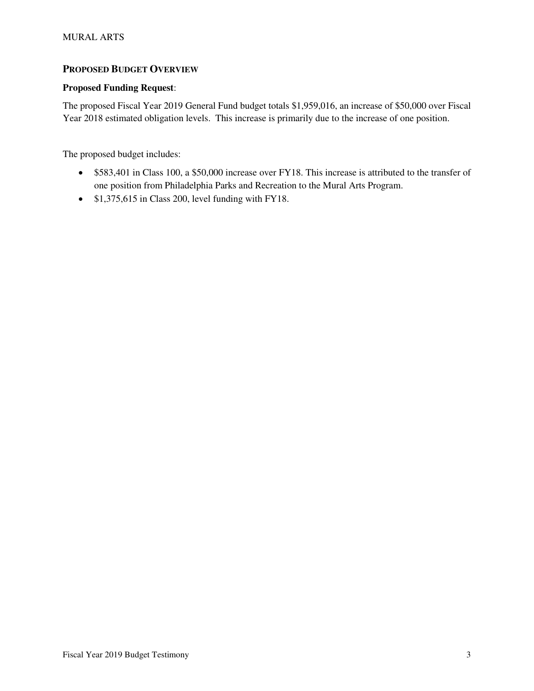# **PROPOSED BUDGET OVERVIEW**

## **Proposed Funding Request**:

The proposed Fiscal Year 2019 General Fund budget totals \$1,959,016, an increase of \$50,000 over Fiscal Year 2018 estimated obligation levels. This increase is primarily due to the increase of one position.

The proposed budget includes:

- \$583,401 in Class 100, a \$50,000 increase over FY18. This increase is attributed to the transfer of one position from Philadelphia Parks and Recreation to the Mural Arts Program.
- \$1,375,615 in Class 200, level funding with FY18.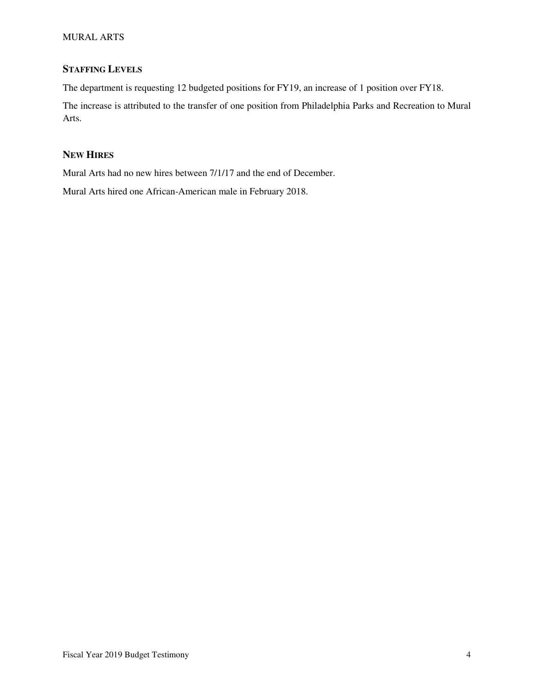# **STAFFING LEVELS**

The department is requesting 12 budgeted positions for FY19, an increase of 1 position over FY18.

The increase is attributed to the transfer of one position from Philadelphia Parks and Recreation to Mural Arts.

## **NEW HIRES**

Mural Arts had no new hires between 7/1/17 and the end of December.

Mural Arts hired one African-American male in February 2018.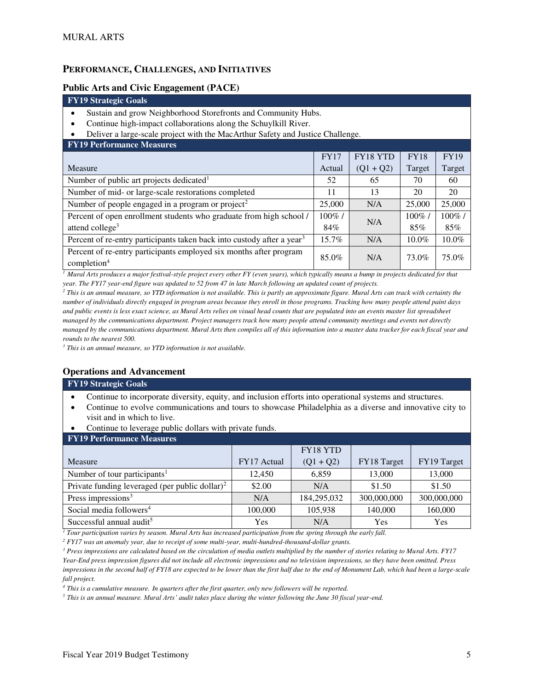## **PERFORMANCE, CHALLENGES, AND INITIATIVES**

### **Public Arts and Civic Engagement (PACE)**

#### **FY19 Strategic Goals**

- Sustain and grow Neighborhood Storefronts and Community Hubs.
- Continue high-impact collaborations along the Schuylkill River.
- Deliver a large-scale project with the MacArthur Safety and Justice Challenge.

| <b>FY19 Performance Measures</b>                                                              |             |             |             |             |
|-----------------------------------------------------------------------------------------------|-------------|-------------|-------------|-------------|
|                                                                                               | <b>FY17</b> | FY18 YTD    | <b>FY18</b> | <b>FY19</b> |
| Measure                                                                                       | Actual      | $(Q1 + Q2)$ | Target      | Target      |
| Number of public art projects dedicated <sup>1</sup>                                          | 52          | 65          | 70          | 60          |
| Number of mid- or large-scale restorations completed                                          | 11          | 13          | 20          | 20          |
| Number of people engaged in a program or project <sup>2</sup>                                 | 25,000      | N/A         | 25,000      | 25,000      |
| Percent of open enrollment students who graduate from high school /                           | $100\%$ /   | N/A         | $100\%$     | $100\%$ /   |
| attend college <sup>3</sup>                                                                   | 84%         |             | 85%         | 85%         |
| Percent of re-entry participants taken back into custody after a year <sup>3</sup>            | 15.7%       | N/A         | $10.0\%$    | $10.0\%$    |
| Percent of re-entry participants employed six months after program<br>completion <sup>4</sup> | 85.0%       | N/A         | 73.0%       | 75.0%       |

*<sup>1</sup> Mural Arts produces a major festival-style project every other FY (even years), which typically means a bump in projects dedicated for that year. The FY17 year-end figure was updated to 52 from 47 in late March following an updated count of projects.* 

<sup>2</sup> This is an annual measure, so YTD information is not available. This is partly an approximate figure. Mural Arts can track with certainty the *number of individuals directly engaged in program areas because they enroll in those programs. Tracking how many people attend paint days*  and public events is less exact science, as Mural Arts relies on visual head counts that are populated into an events master list spreadsheet *managed by the communications department. Project managers track how many people attend community meetings and events not directly managed by the communications department. Mural Arts then compiles all of this information into a master data tracker for each fiscal year and rounds to the nearest 500.* 

*3 This is an annual measure, so YTD information is not available.* 

### **Operations and Advancement**

#### **FY19 Strategic Goals**

- Continue to incorporate diversity, equity, and inclusion efforts into operational systems and structures.
- Continue to evolve communications and tours to showcase Philadelphia as a diverse and innovative city to visit and in which to live.
- Continue to leverage public dollars with private funds.

| $\bullet$<br>Continue to leverage public dollars with private funds. |             |             |             |             |  |  |  |
|----------------------------------------------------------------------|-------------|-------------|-------------|-------------|--|--|--|
| <b>FY19 Performance Measures</b>                                     |             |             |             |             |  |  |  |
|                                                                      |             | FY18 YTD    |             |             |  |  |  |
| Measure                                                              | FY17 Actual | $(Q1 + Q2)$ | FY18 Target | FY19 Target |  |  |  |
| Number of tour participants <sup>1</sup>                             | 12.450      | 6.859       | 13,000      | 13,000      |  |  |  |
| Private funding leveraged (per public dollar) <sup>2</sup>           | \$2.00      | N/A         | \$1.50      | \$1.50      |  |  |  |
| Press impressions $3$                                                | N/A         | 184,295,032 | 300,000,000 | 300,000,000 |  |  |  |
| Social media followers <sup>4</sup>                                  | 100,000     | 105.938     | 140,000     | 160,000     |  |  |  |
| Successful annual audit <sup>5</sup>                                 | Yes         | N/A         | Yes         | <b>Yes</b>  |  |  |  |

*1 Tour participation varies by season. Mural Arts has increased participation from the spring through the early fall.* 

<sup>2</sup> FY17 was an anomaly year, due to receipt of some multi-year, multi-hundred-thousand-dollar grants.

*3 Press impressions are calculated based on the circulation of media outlets multiplied by the number of stories relating to Mural Arts. FY17 Year-End press impression figures did not include all electronic impressions and no television impressions, so they have been omitted. Press impressions in the second half of FY18 are expected to be lower than the first half due to the end of Monument Lab, which had been a large-scale fall project.* 

*4 This is a cumulative measure. In quarters after the first quarter, only new followers will be reported.* 

*<sup>5</sup> This is an annual measure. Mural Arts' audit takes place during the winter following the June 30 fiscal year-end.*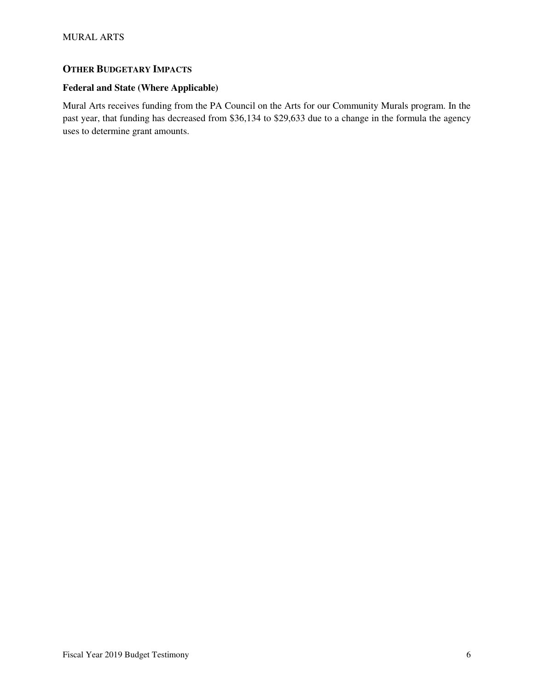# **OTHER BUDGETARY IMPACTS**

# **Federal and State (Where Applicable)**

Mural Arts receives funding from the PA Council on the Arts for our Community Murals program. In the past year, that funding has decreased from \$36,134 to \$29,633 due to a change in the formula the agency uses to determine grant amounts.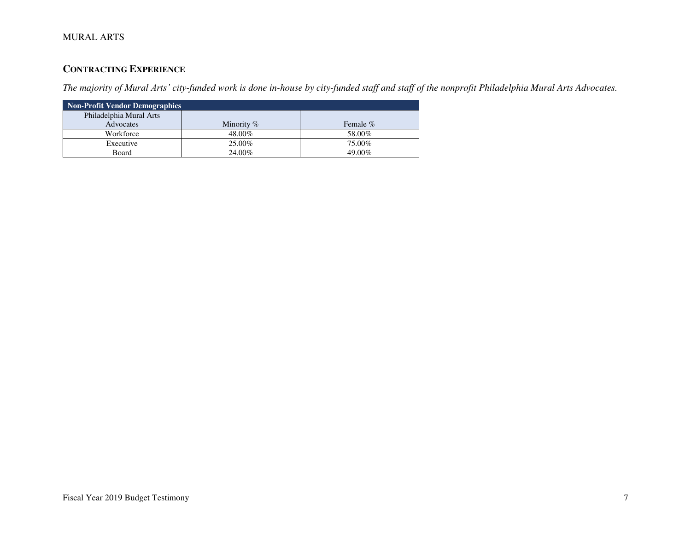# **CONTRACTING EXPERIENCE**

*The majority of Mural Arts' city-funded work is done in-house by city-funded staff and staff of the nonprofit Philadelphia Mural Arts Advocates.*

| Non-Profit Vendor Demographics |              |          |  |  |  |
|--------------------------------|--------------|----------|--|--|--|
| Philadelphia Mural Arts        |              |          |  |  |  |
| Advocates                      | Minority $%$ | Female % |  |  |  |
| Workforce                      | 48.00%       | 58.00%   |  |  |  |
| Executive                      | 25.00%       | 75.00%   |  |  |  |
| Board                          | 24.00%       | 49.00%   |  |  |  |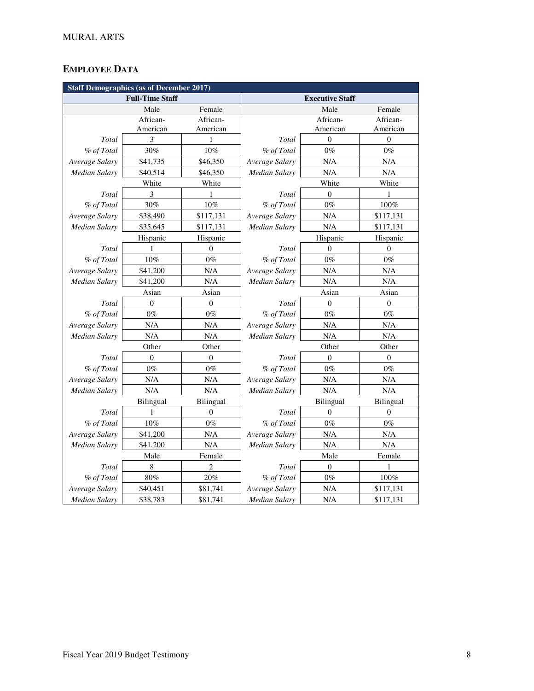# **EMPLOYEE DATA**

| <b>Staff Demographics (as of December 2017)</b> |                  |                  |                        |                  |                  |  |
|-------------------------------------------------|------------------|------------------|------------------------|------------------|------------------|--|
| <b>Full-Time Staff</b>                          |                  |                  | <b>Executive Staff</b> |                  |                  |  |
|                                                 | Male             | Female           |                        | Male             | Female           |  |
|                                                 | African-         | African-         |                        | African-         | African-         |  |
|                                                 | American         | American         |                        | American         | American         |  |
| Total                                           | 3                | 1                | Total                  | $\mathbf{0}$     | $\boldsymbol{0}$ |  |
| % of Total                                      | 30%              | 10%              | % of Total             | $0\%$            | $0\%$            |  |
| Average Salary                                  | \$41,735         | \$46,350         | Average Salary         | N/A              | N/A              |  |
| <b>Median Salary</b>                            | \$40,514         | \$46,350         | <b>Median Salary</b>   | N/A              | N/A              |  |
|                                                 | White            | White            |                        | White            | White            |  |
| Total                                           | 3                | 1                | Total                  | $\theta$         | 1                |  |
| % of Total                                      | 30%              | $10\%$           | % of Total             | $0\%$            | $100\%$          |  |
| Average Salary                                  | \$38,490         | \$117,131        | Average Salary         | N/A              | \$117,131        |  |
| <b>Median Salary</b>                            | \$35,645         | \$117,131        | Median Salary          | N/A              | \$117,131        |  |
|                                                 | Hispanic         | Hispanic         |                        | Hispanic         | Hispanic         |  |
| Total                                           | 1                | $\theta$         | Total                  | $\Omega$         | $\theta$         |  |
| % of Total                                      | $10\%$           | $0\%$            | % of Total             | $0\%$            | $0\%$            |  |
| Average Salary                                  | \$41,200         | N/A              | Average Salary         | N/A              | $\rm N/A$        |  |
| <b>Median Salary</b>                            | \$41,200         | N/A              | <b>Median Salary</b>   | N/A              | $\rm N/A$        |  |
|                                                 | Asian            | Asian            |                        | Asian            | Asian            |  |
| Total                                           | $\boldsymbol{0}$ | $\boldsymbol{0}$ | Total                  | $\boldsymbol{0}$ | $\boldsymbol{0}$ |  |
| % of Total                                      | $0\%$            | $0\%$            | % of Total             | $0\%$            | $0\%$            |  |
| Average Salary                                  | N/A              | N/A              | Average Salary         | N/A              | N/A              |  |
| <b>Median Salary</b>                            | N/A              | N/A              | Median Salary          | N/A              | $\rm N/A$        |  |
|                                                 | Other            | Other            |                        | Other            | Other            |  |
| Total                                           | $\Omega$         | $\overline{0}$   | Total                  | $\Omega$         | $\overline{0}$   |  |
| % of Total                                      | $0\%$            | $0\%$            | % of Total             | $0\%$            | $0\%$            |  |
| Average Salary                                  | N/A              | N/A              | Average Salary         | N/A              | N/A              |  |
| Median Salary                                   | N/A              | N/A              | Median Salary          | N/A              | N/A              |  |
|                                                 | <b>Bilingual</b> | <b>Bilingual</b> |                        | <b>Bilingual</b> | <b>Bilingual</b> |  |
| Total                                           | $\mathbf{1}$     | $\overline{0}$   | Total                  | $\mathbf{0}$     | $\overline{0}$   |  |
| % of Total                                      | 10%              | $0\%$            | % of Total             | $0\%$            | $0\%$            |  |
| Average Salary                                  | \$41,200         | N/A              | Average Salary         | N/A              | N/A              |  |
| Median Salary                                   | \$41,200         | N/A              | Median Salary          | N/A              | N/A              |  |
|                                                 | Male             | Female           |                        | Male             | Female           |  |
| Total                                           | 8                | 2                | Total                  | $\boldsymbol{0}$ | 1                |  |
| % of Total                                      | 80%              | 20%              | % of Total             | $0\%$            | 100%             |  |
| Average Salary                                  | \$40,451         | \$81,741         | Average Salary         | N/A              | \$117,131        |  |
| Median Salary                                   | \$38,783         | \$81,741         | Median Salary          | N/A              | \$117,131        |  |